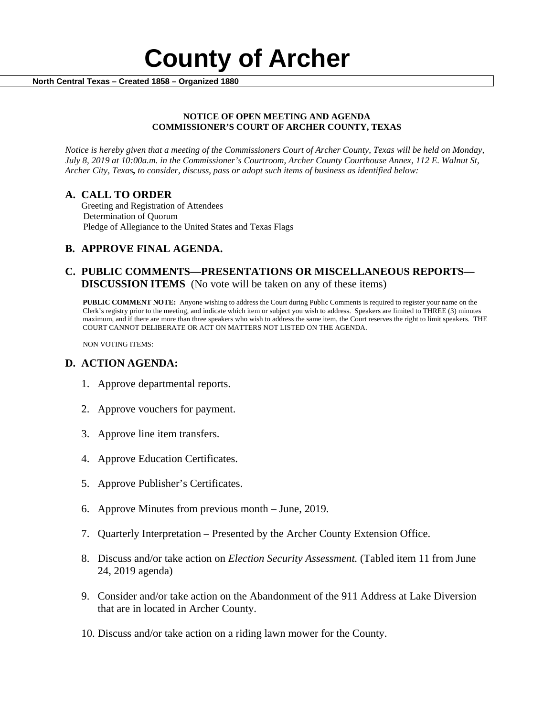

#### **NOTICE OF OPEN MEETING AND AGENDA COMMISSIONER'S COURT OF ARCHER COUNTY, TEXAS**

*Notice is hereby given that a meeting of the Commissioners Court of Archer County, Texas will be held on Monday, July 8, 2019 at 10:00a.m. in the Commissioner's Courtroom, Archer County Courthouse Annex, 112 E. Walnut St, Archer City, Texas, to consider, discuss, pass or adopt such items of business as identified below:*

**A. CALL TO ORDER** Greeting and Registration of Attendees Determination of Quorum Pledge of Allegiance to the United States and Texas Flags

# **B. APPROVE FINAL AGENDA.**

# **C. PUBLIC COMMENTS—PRESENTATIONS OR MISCELLANEOUS REPORTS— DISCUSSION ITEMS** (No vote will be taken on any of these items)

**PUBLIC COMMENT NOTE:** Anyone wishing to address the Court during Public Comments is required to register your name on the Clerk's registry prior to the meeting, and indicate which item or subject you wish to address. Speakers are limited to THREE (3) minutes maximum, and if there are more than three speakers who wish to address the same item, the Court reserves the right to limit speakers. THE COURT CANNOT DELIBERATE OR ACT ON MATTERS NOT LISTED ON THE AGENDA.

NON VOTING ITEMS:

### **D. ACTION AGENDA:**

- 1. Approve departmental reports.
- 2. Approve vouchers for payment.
- 3. Approve line item transfers.
- 4. Approve Education Certificates.
- 5. Approve Publisher's Certificates.
- 6. Approve Minutes from previous month June, 2019.
- 7. Quarterly Interpretation Presented by the Archer County Extension Office.
- 8. Discuss and/or take action on *Election Security Assessment.* (Tabled item 11 from June 24, 2019 agenda)
- 9. Consider and/or take action on the Abandonment of the 911 Address at Lake Diversion that are in located in Archer County.
- 10. Discuss and/or take action on a riding lawn mower for the County.